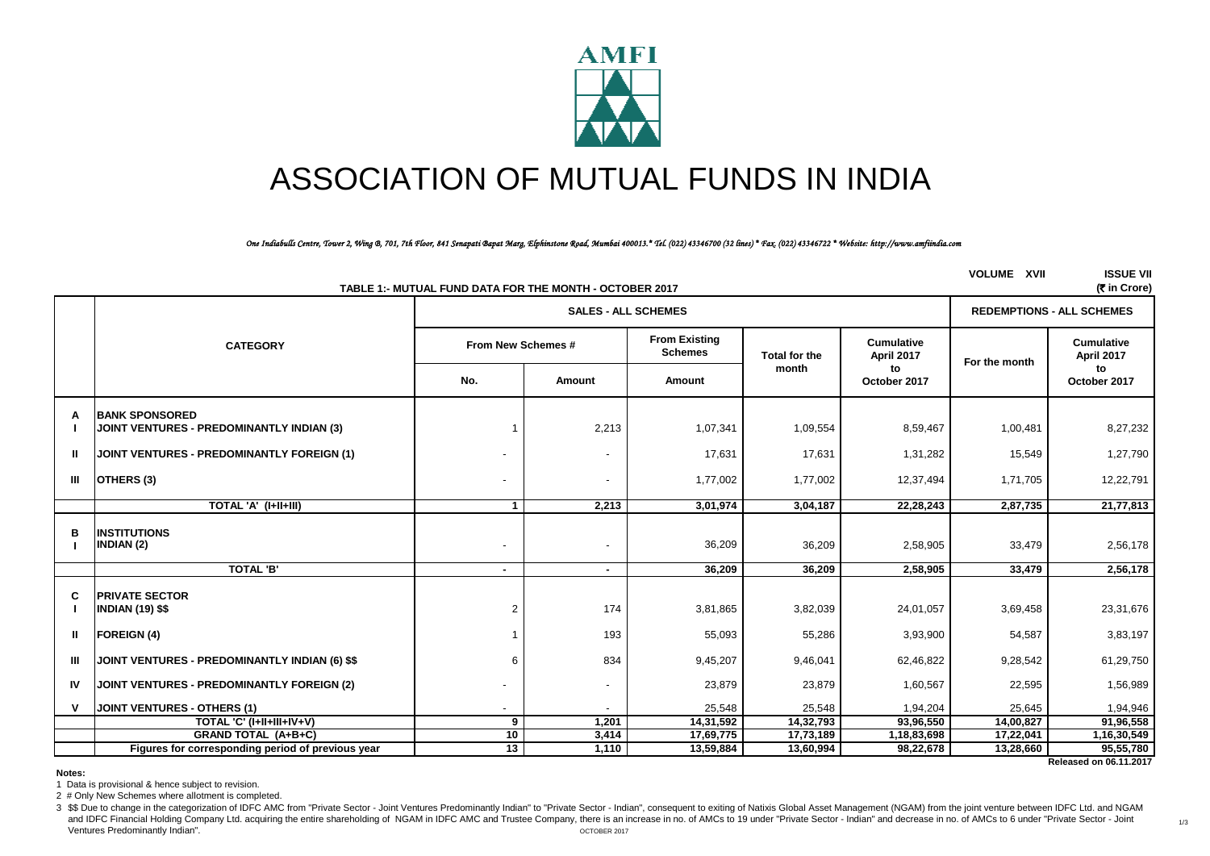

# ASSOCIATION OF MUTUAL FUNDS IN INDIA

*One Indiabulls Centre, Tower 2, Wing B, 701, 7th Floor, 841 Senapati Bapat Marg, Elphinstone Road, Mumbai 400013.\* Tel. (022) 43346700 (32 lines) \* Fax. (022) 43346722 \* Website: http://www.amfiindia.com*

|              | TABLE 1:- MUTUAL FUND DATA FOR THE MONTH - OCTOBER 2017                   | <b>VOLUME XVII</b> | <b>ISSUE VII</b><br>(रैं in Crore) |                                        |                      |                                 |               |                                        |
|--------------|---------------------------------------------------------------------------|--------------------|------------------------------------|----------------------------------------|----------------------|---------------------------------|---------------|----------------------------------------|
|              |                                                                           |                    |                                    | <b>SALES - ALL SCHEMES</b>             |                      |                                 |               | <b>REDEMPTIONS - ALL SCHEMES</b>       |
|              | <b>CATEGORY</b>                                                           | From New Schemes # |                                    | <b>From Existing</b><br><b>Schemes</b> | <b>Total for the</b> | <b>Cumulative</b><br>April 2017 | For the month | <b>Cumulative</b><br><b>April 2017</b> |
|              |                                                                           | No.                | Amount                             | Amount                                 | month                | to<br>October 2017              |               | to<br>October 2017                     |
| A            | <b>BANK SPONSORED</b><br><b>JOINT VENTURES - PREDOMINANTLY INDIAN (3)</b> |                    | 2,213                              | 1,07,341                               | 1,09,554             | 8,59,467                        | 1,00,481      | 8,27,232                               |
| $\mathbf{I}$ | JOINT VENTURES - PREDOMINANTLY FOREIGN (1)                                |                    | $\overline{\phantom{a}}$           | 17,631                                 | 17,631               | 1,31,282                        | 15,549        | 1,27,790                               |
| $\mathbf{m}$ | OTHERS (3)                                                                |                    |                                    | 1,77,002                               | 1,77,002             | 12,37,494                       | 1,71,705      | 12,22,791                              |
|              | TOTAL 'A' (I+II+III)                                                      | $\mathbf{1}$       | 2,213                              | 3,01,974                               | 3,04,187             | 22,28,243                       | 2,87,735      | 21,77,813                              |
| в            | <b>INSTITUTIONS</b><br><b>INDIAN (2)</b>                                  |                    |                                    | 36,209                                 | 36,209               | 2,58,905                        | 33,479        | 2,56,178                               |
|              | <b>TOTAL 'B'</b>                                                          | $\blacksquare$     | $\blacksquare$                     | 36,209                                 | 36,209               | 2,58,905                        | 33,479        | 2,56,178                               |
| C            | <b>PRIVATE SECTOR</b><br><b>INDIAN (19) \$\$</b>                          | 2                  | 174                                | 3,81,865                               | 3,82,039             | 24,01,057                       | 3,69,458      | 23,31,676                              |
| $\mathbf{I}$ | <b>FOREIGN (4)</b>                                                        |                    | 193                                | 55,093                                 | 55,286               | 3,93,900                        | 54,587        | 3,83,197                               |
| $\mathbf{m}$ | JOINT VENTURES - PREDOMINANTLY INDIAN (6) \$\$                            | 6                  | 834                                | 9,45,207                               | 9,46,041             | 62,46,822                       | 9,28,542      | 61,29,750                              |
| IV           | JOINT VENTURES - PREDOMINANTLY FOREIGN (2)                                |                    |                                    | 23,879                                 | 23,879               | 1,60,567                        | 22,595        | 1,56,989                               |
| v            | JOINT VENTURES - OTHERS (1)                                               |                    |                                    | 25,548                                 | 25,548               | 1,94,204                        | 25,645        | 1,94,946                               |
|              | TOTAL 'C' (I+II+III+IV+V)                                                 | 9                  | 1,201                              | 14,31,592                              | 14,32,793            | 93,96,550                       | 14,00,827     | 91,96,558                              |
|              | <b>GRAND TOTAL (A+B+C)</b>                                                | 10                 | 3,414                              | 17,69,775                              | 17,73,189            | 1,18,83,698                     | 17,22,041     | 1,16,30,549                            |
|              | Figures for corresponding period of previous year                         | $\overline{13}$    | 1,110                              | 13,59,884                              | 13,60,994            | 98,22,678                       | 13,28,660     | 95,55,780                              |

 **Released on 06.11.2017**

1/3

**Notes:**

1 Data is provisional & hence subject to revision.

2 # Only New Schemes where allotment is completed.

3 \$\$ Due to change in the categorization of IDFC AMC from "Private Sector - Joint Ventures Predominantly Indian" to "Private Sector - Indian", consequent to exiting of Natixis Global Asset Management (NGAM) from the joint and IDFC Financial Holding Company Ltd, acquiring the entire shareholding of NGAM in IDFC AMC and Trustee Company, there is an increase in no. of AMCs to 19 under "Private Sector - Indian" and decrease in no. of AMCs to 6 Ventures Predominantly Indian". OCTOBER 2017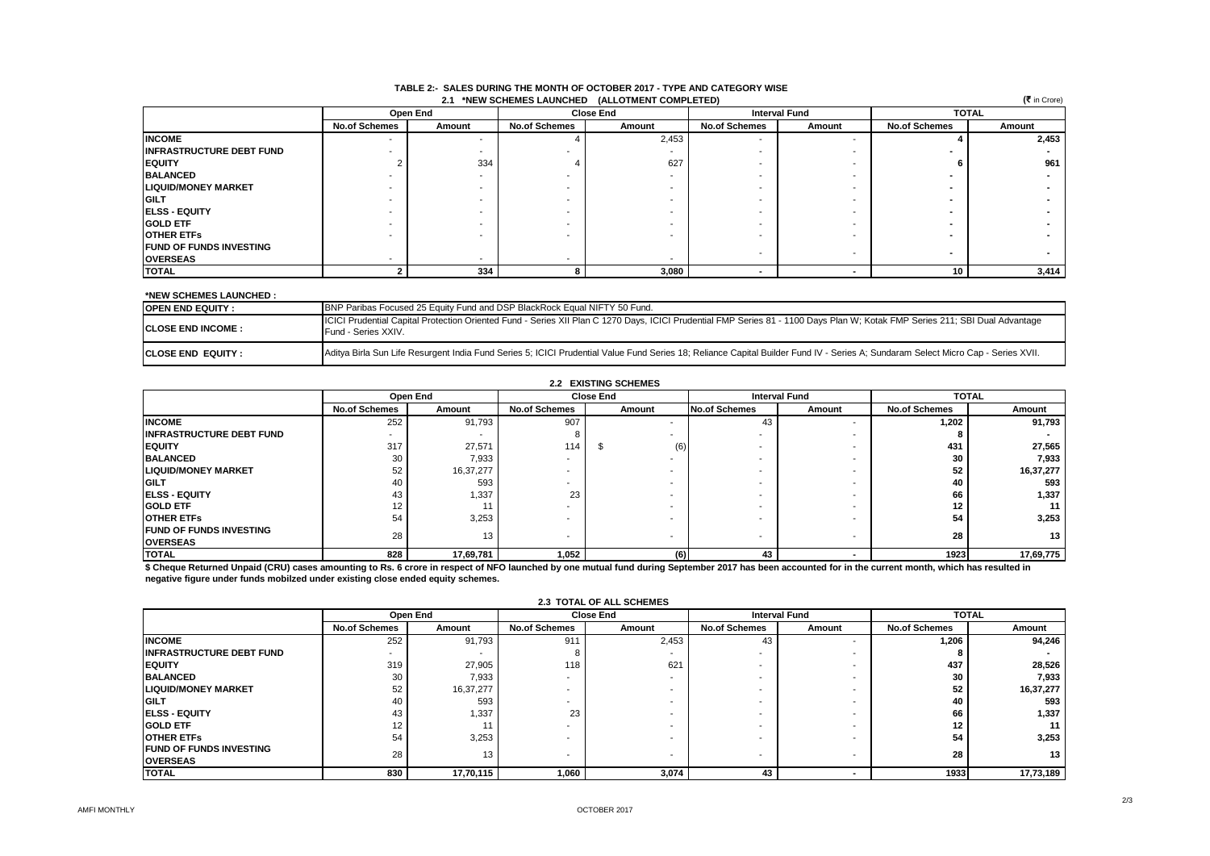| (₹ in Crore)<br>2.1 *NEW SCHEMES LAUNCHED<br>(ALLOTMENT COMPLETED) |                      |          |                      |                  |                      |                          |                      |        |  |
|--------------------------------------------------------------------|----------------------|----------|----------------------|------------------|----------------------|--------------------------|----------------------|--------|--|
|                                                                    |                      | Open End |                      | <b>Close End</b> | <b>Interval Fund</b> |                          | <b>TOTAL</b>         |        |  |
|                                                                    | <b>No.of Schemes</b> | Amount   | <b>No.of Schemes</b> | Amount           | <b>No.of Schemes</b> | Amount                   | <b>No.of Schemes</b> | Amount |  |
| <b>INCOME</b>                                                      |                      |          |                      | 2,453            |                      | -                        |                      | 2,453  |  |
| <b>INFRASTRUCTURE DEBT FUND</b>                                    |                      |          |                      |                  |                      | -                        |                      |        |  |
| <b>EQUITY</b>                                                      |                      | 334      |                      | 627              |                      | -                        |                      | 961    |  |
| <b>BALANCED</b>                                                    |                      |          | ۰                    |                  |                      | -                        |                      |        |  |
| <b>LIQUID/MONEY MARKET</b>                                         |                      |          |                      |                  |                      | -                        |                      |        |  |
| <b>GILT</b>                                                        |                      |          |                      |                  |                      | -                        |                      |        |  |
| <b>IELSS - EQUITY</b>                                              |                      |          |                      |                  |                      | -                        |                      |        |  |
| <b>GOLD ETF</b>                                                    |                      |          |                      |                  |                      | -                        |                      |        |  |
| <b>IOTHER ETFS</b>                                                 |                      |          |                      |                  |                      |                          |                      |        |  |
| <b>FUND OF FUNDS INVESTING</b>                                     |                      |          |                      |                  |                      |                          |                      |        |  |
| <b>OVERSEAS</b>                                                    |                      |          | -                    |                  |                      | $\overline{\phantom{a}}$ |                      |        |  |
| <b>TOTAL</b>                                                       |                      | 334      |                      | 3,080            |                      |                          | 10                   | 3,414  |  |

#### **TABLE 2:- SALES DURING THE MONTH OF OCTOBER 2017 - TYPE AND CATEGORY WISE 2.1 \*NEW SCHEMES LAUNCHED (ALLOTMENT COMPLETED)**

#### **\*NEW SCHEMES LAUNCHED :**

| BNP Paribas Focused 25 Equity Fund and DSP BlackRock Equal NIFTY 50 Fund.<br><b>IOPEN END EQUITY :</b> |                                                                                                                                                                                                     |  |  |  |  |  |
|--------------------------------------------------------------------------------------------------------|-----------------------------------------------------------------------------------------------------------------------------------------------------------------------------------------------------|--|--|--|--|--|
| <b>ICLOSE END INCOME :</b>                                                                             | ICICI Prudential Capital Protection Oriented Fund - Series XII Plan C 1270 Days, ICICI Prudential FMP Series 81 - 1100 Days Plan W; Kotak FMP Series 211; SBI Dual Advantage<br>Fund - Series XXIV. |  |  |  |  |  |
| <b>ICLOSE END EQUITY :</b>                                                                             | Aditya Birla Sun Life Resurgent India Fund Series 5; ICICI Prudential Value Fund Series 18; Reliance Capital Builder Fund IV - Series A; Sundaram Select Micro Cap - Series XVII.                   |  |  |  |  |  |

|                                                   | Open End                 |           | <b>Close End</b>         |           | <b>Interval Fund</b>     |                          | <b>TOTAL</b>         |           |
|---------------------------------------------------|--------------------------|-----------|--------------------------|-----------|--------------------------|--------------------------|----------------------|-----------|
|                                                   | <b>No.of Schemes</b>     | Amount    | <b>No.of Schemes</b>     | Amount    | <b>No.of Schemes</b>     | Amount                   | <b>No.of Schemes</b> | Amount    |
| <b>INCOME</b>                                     | 252                      | 91,793    | 907                      |           | 43                       |                          | 1,202                | 91,793    |
| <b>INFRASTRUCTURE DEBT FUND</b>                   | $\overline{\phantom{a}}$ |           |                          |           |                          |                          |                      |           |
| <b>EQUITY</b>                                     | 317                      | 27,571    | 114                      | (6)<br>J. |                          | -                        | 431                  | 27,565    |
| <b>BALANCED</b>                                   | 30                       | 7,933     | -                        |           |                          |                          | 30                   | 7,933     |
| <b>LIQUID/MONEY MARKET</b>                        | 52                       | 16,37,277 |                          |           |                          |                          | 52                   | 16,37,277 |
| <b>GILT</b>                                       | 40                       | 593       |                          |           | -                        |                          | 40                   | 593       |
| <b>IELSS - EQUITY</b>                             | 43                       | 1,337     | 23                       |           | -                        |                          | 66                   | 1,337     |
| <b>GOLD ETF</b>                                   | 12                       |           | -                        |           | -                        |                          | 12                   | 11        |
| <b>IOTHER ETFS</b>                                | 54                       | 3,253     | -                        |           |                          |                          | 54                   | 3,253     |
| <b>FUND OF FUNDS INVESTING</b><br><b>OVERSEAS</b> | 28                       | 13        | $\overline{\phantom{0}}$ |           | $\overline{\phantom{a}}$ | $\overline{\phantom{a}}$ | 28                   | 13        |
| <b>TOTAL</b>                                      | 828                      | 17,69,781 | 1,052                    | (6)       | 43                       |                          | 1923                 | 17,69,775 |

\$ Cheque Returned Unpaid (CRU) cases amounting to Rs. 6 crore in respect of NFO launched by one mutual fund during September 2017 has been accounted for in the current month, which has resulted in **negative figure under funds mobilzed under existing close ended equity schemes.**

|                                                   | Open End             |                 |                      | <b>Close End</b> | <b>Interval Fund</b> |        | <b>TOTAL</b>         |                 |
|---------------------------------------------------|----------------------|-----------------|----------------------|------------------|----------------------|--------|----------------------|-----------------|
|                                                   | <b>No.of Schemes</b> | Amount          | <b>No.of Schemes</b> | Amount           | <b>No.of Schemes</b> | Amount | <b>No.of Schemes</b> | Amount          |
| <b>INCOME</b>                                     | 252                  | 91,793          | 911                  | 2,453            | 43                   |        | 1,206                | 94,246          |
| <b>INFRASTRUCTURE DEBT FUND</b>                   | -                    |                 |                      |                  |                      |        |                      |                 |
| <b>EQUITY</b>                                     | 319                  | 27,905          | 118                  | 621              |                      |        | 437                  | 28,526          |
| <b>BALANCED</b>                                   | 30                   | 7,933           | -                    |                  |                      |        | 30                   | 7,933           |
| <b>LIQUID/MONEY MARKET</b>                        | 52                   | 16,37,277       |                      |                  |                      |        | 52                   | 16,37,277       |
| <b>GILT</b>                                       | 40                   | 593             |                      |                  |                      |        | 40                   | 593             |
| <b>IELSS - EQUITY</b>                             | 43                   | 1.337           | 23                   |                  |                      |        | 66                   | 1,337           |
| <b>GOLD ETF</b>                                   | 12                   |                 | -                    |                  |                      |        | 12                   | 11              |
| <b>OTHER ETFS</b>                                 | 54                   | 3,253           |                      |                  |                      |        | 54                   | 3,253           |
| <b>FUND OF FUNDS INVESTING</b><br><b>OVERSEAS</b> | 28                   | 13 <sub>1</sub> | -                    |                  | -                    |        | 28                   | 13 <sup>1</sup> |
| <b>TOTAL</b>                                      | 830                  | 17,70,115       | 1,060                | 3,074            | 43                   |        | 1933                 | 17,73,189       |

#### **2.3 TOTAL OF ALL SCHEMES**